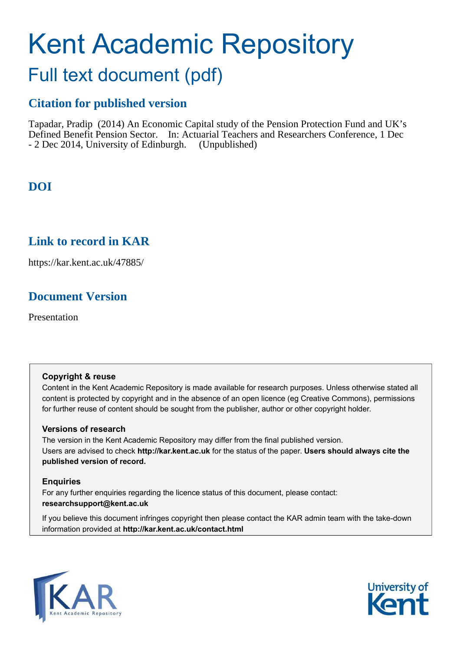# Kent Academic Repository

## Full text document (pdf)

## **Citation for published version**

Tapadar, Pradip (2014) An Economic Capital study of the Pension Protection Fund and UK's Defined Benefit Pension Sector. In: Actuarial Teachers and Researchers Conference, 1 Dec - 2 Dec 2014, University of Edinburgh. (Unpublished)

## **DOI**

## <span id="page-0-0"></span>**Link to record in KAR**

https://kar.kent.ac.uk/47885/

## **Document Version**

Presentation

#### **Copyright & reuse**

Content in the Kent Academic Repository is made available for research purposes. Unless otherwise stated all content is protected by copyright and in the absence of an open licence (eg Creative Commons), permissions for further reuse of content should be sought from the publisher, author or other copyright holder.

#### **Versions of research**

The version in the Kent Academic Repository may differ from the final published version. Users are advised to check **http://kar.kent.ac.uk** for the status of the paper. **Users should always cite the published version of record.**

#### **Enquiries**

For any further enquiries regarding the licence status of this document, please contact: **researchsupport@kent.ac.uk**

If you believe this document infringes copyright then please contact the KAR admin team with the take-down information provided at **http://kar.kent.ac.uk/contact.html**



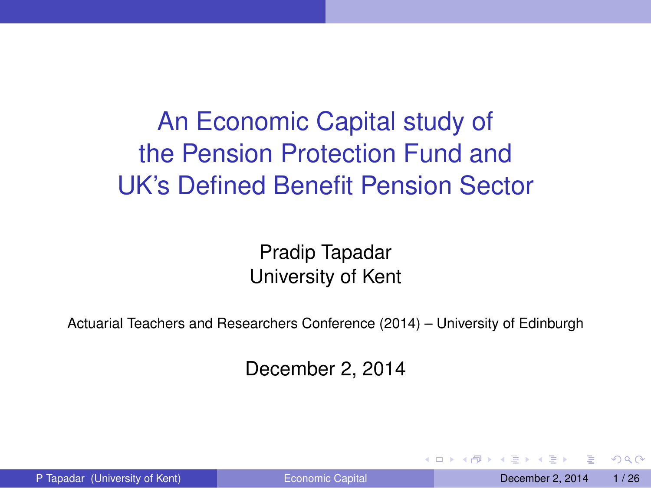## An Economic Capital study of the Pension Protection Fund and UK's Defined Benefit Pension Sector

Pradip Tapadar University of Kent

Actuarial Teachers and Researchers Conference (2014) – University of Edinburgh

December 2, 2014

 $\Omega$ 

 $\lambda$  in a set of the  $\lambda$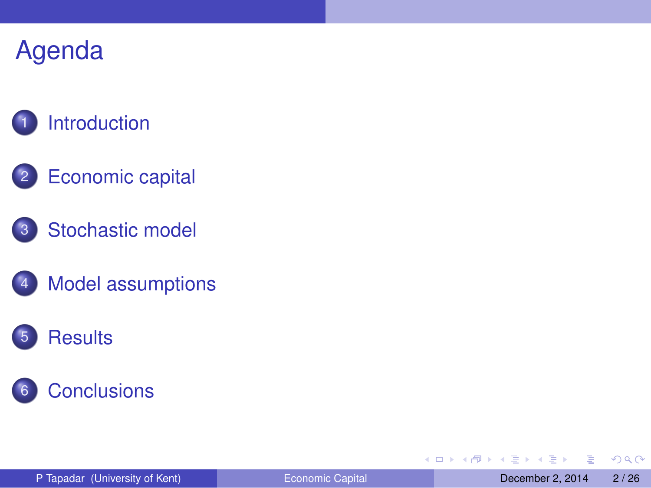## **[Introduction](#page-2-0)**

- 2 [Economic capital](#page-4-0)
- 3 [Stochastic model](#page-8-0)
- [Model assumptions](#page-11-0)

### **[Results](#page-15-0)**



E

<span id="page-2-0"></span> $299$ 

 $\mathbf{A} \equiv \mathbf{A} \cdot \mathbf{A} \equiv \mathbf{A}$ 

4 ロ ト ィ *同* ト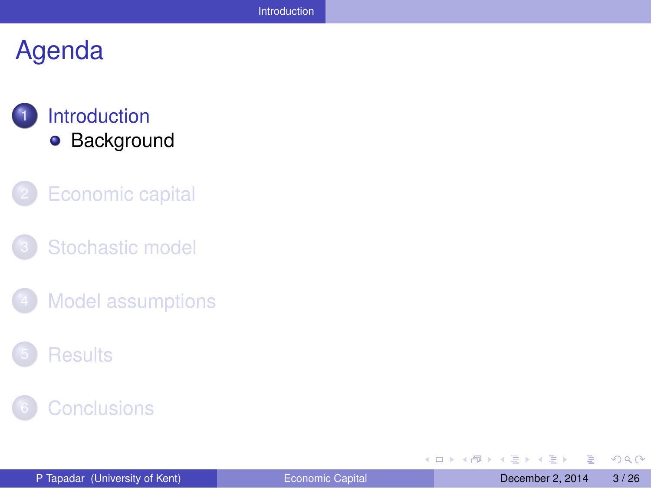#### **[Introduction](#page-2-0) •** [Background](#page-3-0)

- **[Economic capital](#page-4-0)**
- [Stochastic model](#page-8-0)
- **[Model assumptions](#page-11-0)**
- **[Results](#page-15-0)**



E

<span id="page-3-0"></span> $299$ 

 $A \equiv \mathbf{1} \times \mathbf{1} \times \mathbf{1} \times \mathbf{1}$ 

4 ロト 4 何ト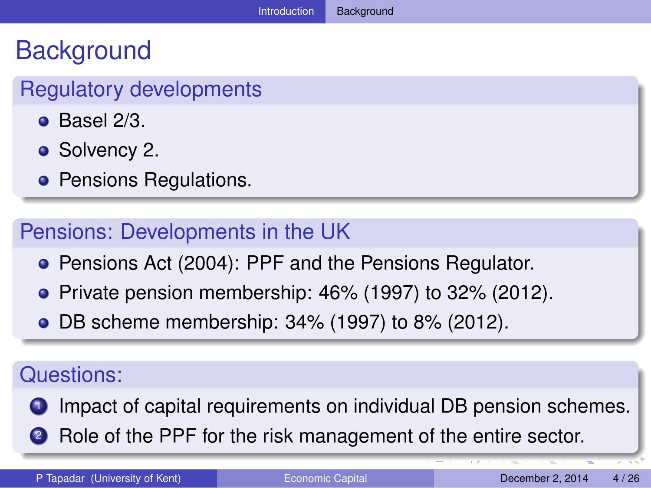## **Background**

#### Regulatory developments

- $\bullet$  Basel 2/3.
- Solvency 2.
- **Pensions Regulations.**

#### Pensions: Developments in the UK

- **Pensions Act (2004): PPF and the Pensions Regulator.**
- $\bullet$  Private pension membership: 46% (1997) to 32% (2012).
- DB scheme membership: 34% (1997) to 8% (2012).

#### Questions:

- **1** Impact of capital requirements on individual DB pension schemes.
- <span id="page-4-0"></span>**2** Role of the PPF for the risk management of the entire sector.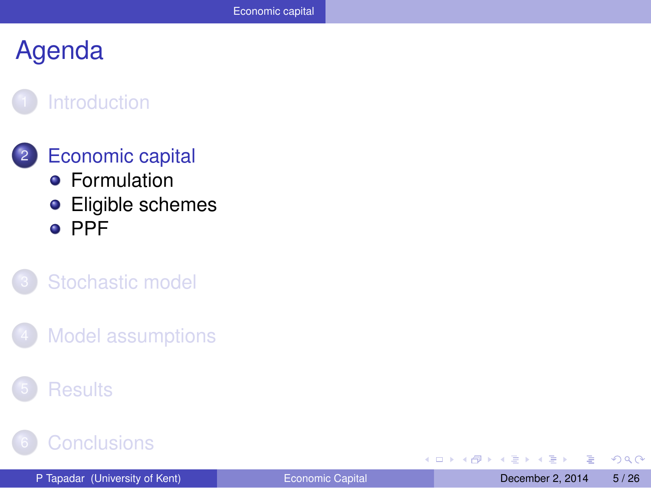#### **[Introduction](#page-2-0)**

#### **[Economic capital](#page-4-0) •** [Formulation](#page-5-0)

**•** [Eligible schemes](#page-6-0) o [PPF](#page-7-0)

#### [Stochastic model](#page-8-0)

**[Model assumptions](#page-11-0)** 

#### **[Results](#page-15-0)**

#### **[Conclusions](#page-24-0)**

4 0 8

 $\leftarrow$   $\leftarrow$   $\leftarrow$ 

Þ

<span id="page-5-0"></span> $QQ$ 

化重压 化重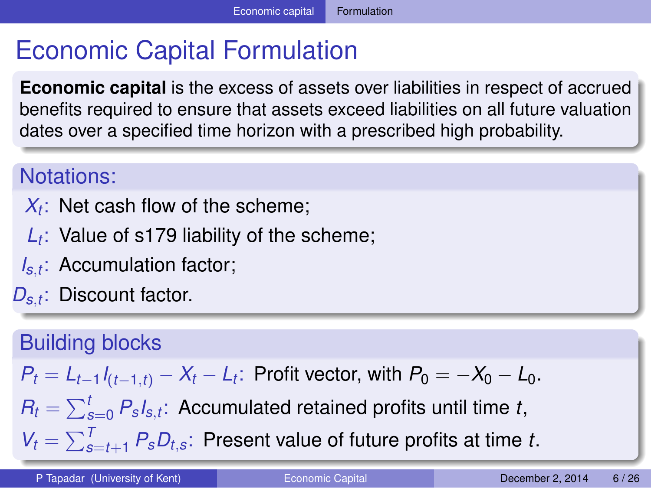## Economic Capital Formulation

**Economic capital** is the excess of assets over liabilities in respect of accrued benefits required to ensure that assets exceed liabilities on all future valuation dates over a specified time horizon with a prescribed high probability.

#### Notations:

- $X_t$ : Net cash flow of the scheme;
- *Lt* : Value of s179 liability of the scheme;
- *Is*,*t* : Accumulation factor;
- *Ds*,*<sup>t</sup>* : Discount factor.

#### Building blocks

$$
P_t = L_{t-1}I_{(t-1,t)} - X_t - L_t
$$
: Profit vector, with  $P_0 = -X_0 - L_0$ .

 $R_t = \sum_{s=0}^t P_s s_{t}$ ; Accumulated retained profits until time *t*,

<span id="page-6-0"></span> $V_t = \sum_{s=t+1}^{T} P_s D_{t,s}$  $V_t = \sum_{s=t+1}^{T} P_s D_{t,s}$  $V_t = \sum_{s=t+1}^{T} P_s D_{t,s}$  $V_t = \sum_{s=t+1}^{T} P_s D_{t,s}$  $V_t = \sum_{s=t+1}^{T} P_s D_{t,s}$  $V_t = \sum_{s=t+1}^{T} P_s D_{t,s}$  $V_t = \sum_{s=t+1}^{T} P_s D_{t,s}$ : Present value of future p[rofi](#page-4-0)[ts](#page-6-0) [at](#page-5-0) [ti](#page-6-0)m[e](#page-5-0) *t*[.](#page-3-0)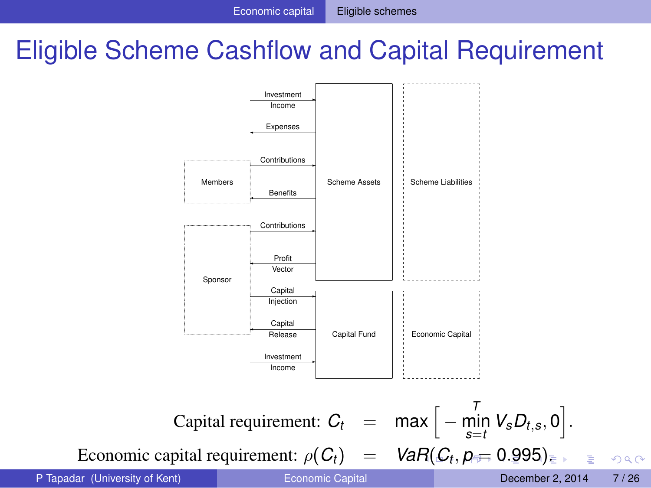## Eligible Scheme Cashflow and Capital Requirement



<span id="page-7-0"></span> $QQ$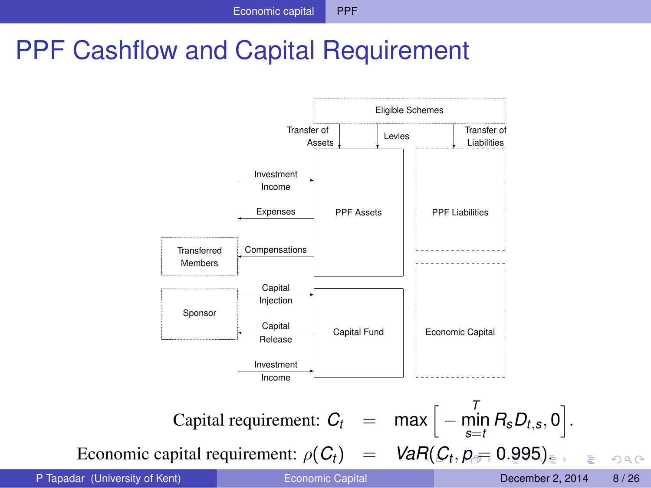## PPF Cashflow and Capital Requirement



<span id="page-8-0"></span> $QQ$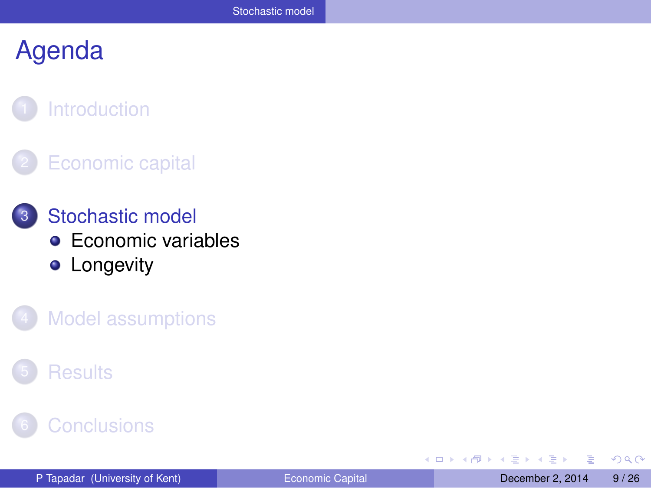#### **[Introduction](#page-2-0)**

#### **[Economic capital](#page-4-0)**

- 3 [Stochastic model](#page-8-0) **[Economic variables](#page-9-0) •** [Longevity](#page-10-0)
	- **[Model assumptions](#page-11-0)**

#### **[Results](#page-15-0)**

#### **[Conclusions](#page-24-0)**

4 0 8

 $\leftarrow$   $\leftarrow$   $\leftarrow$ 

Þ

<span id="page-9-0"></span> $QQ$ 

化重压 化重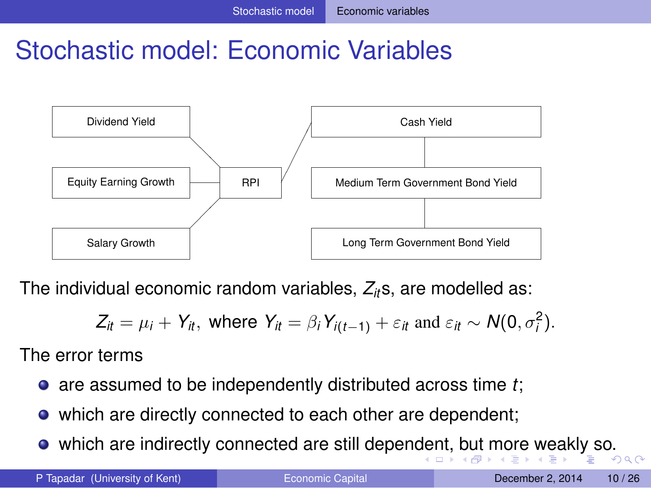## Stochastic model: Economic Variables



The individual economic random variables, *Zit*s, are modelled as:

<span id="page-10-0"></span>
$$
Z_{it} = \mu_i + Y_{it}, \text{ where } Y_{it} = \beta_i Y_{i(t-1)} + \varepsilon_{it} \text{ and } \varepsilon_{it} \sim N(0, \sigma_i^2).
$$

The error terms

- are assumed to be independently distributed across time *t*;
- which are directly connected to each other are dependent;
- which are indirectly connected are still [de](#page-8-0)penden[t,](#page-10-0) [b](#page-8-0)[ut](#page-9-0) [m](#page-10-0)[or](#page-9-0)[e](#page-8-0) [w](#page-7-0)e[ak](#page-11-0)[ly](#page-0-0) [so](#page-25-0).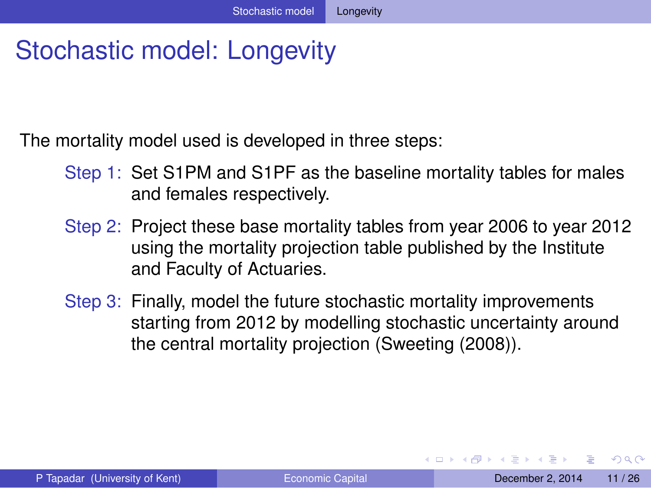## Stochastic model: Longevity

The mortality model used is developed in three steps:

- Step 1: Set S1PM and S1PF as the baseline mortality tables for males and females respectively.
- Step 2: Project these base mortality tables from year 2006 to year 2012 using the mortality projection table published by the Institute and Faculty of Actuaries.
- Step 3: Finally, model the future stochastic mortality improvements starting from 2012 by modelling stochastic uncertainty around the central mortality projection (Sweeting (2008)).

<span id="page-11-0"></span> $\Omega$ 

イロト イ押ト イヨト イヨトー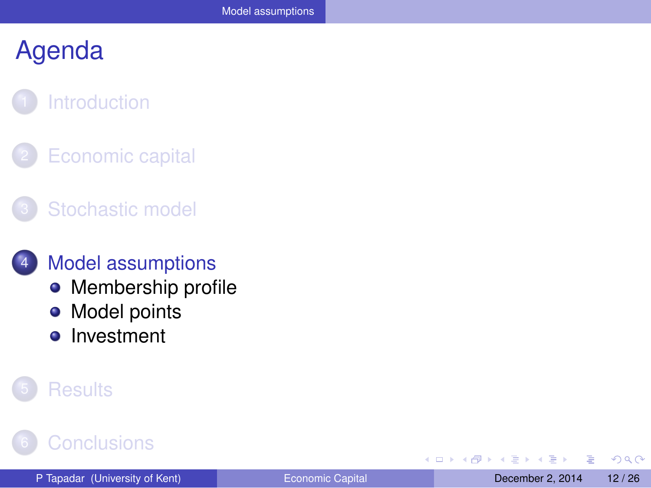## **[Introduction](#page-2-0)**

**[Economic capital](#page-4-0)** 

#### [Stochastic model](#page-8-0)

#### **[Model assumptions](#page-11-0)**

- [Membership profile](#page-12-0)
- [Model points](#page-13-0)  $\bullet$
- [Investment](#page-14-0)  $\bullet$

#### **[Results](#page-15-0)**

### **[Conclusions](#page-24-0)**

4 0 8 ×.  $\sim$ ÷ Þ

<span id="page-12-0"></span> $QQQ$ 

 $\mathbf{y} = \mathbf{z}$  . The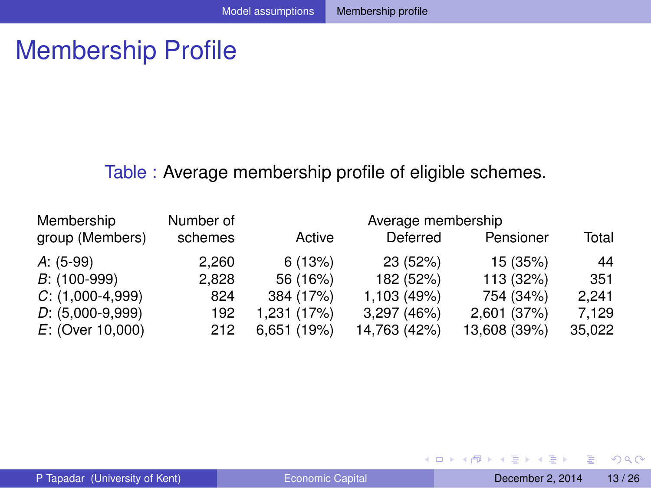## Membership Profile

#### Table : Average membership profile of eligible schemes.

| Membership         | Number of |             | Average membership |              |        |
|--------------------|-----------|-------------|--------------------|--------------|--------|
| group (Members)    | schemes   | Active      | Deferred           | Pensioner    | Total  |
| $A: (5-99)$        | 2.260     | 6(13%)      | 23 (52%)           | 15 (35%)     | 44     |
| $B$ : (100-999)    | 2.828     | 56 (16%)    | 182 (52%)          | 113 (32%)    | 351    |
| $C: (1,000-4,999)$ | 824       | 384 (17%)   | 1,103 (49%)        | 754 (34%)    | 2.241  |
| $D: (5,000-9,999)$ | 192       | 1,231 (17%) | 3,297 (46%)        | 2,601 (37%)  | 7.129  |
| $E:$ (Over 10,000) | 212       | 6,651(19%)  | 14,763 (42%)       | 13,608 (39%) | 35,022 |

÷.

<span id="page-13-0"></span> $299$ 

 $(0,1)$   $(0,1)$   $(0,1)$   $(1,1)$   $(1,1)$   $(1,1)$   $(1,1)$   $(1,1)$   $(1,1)$   $(1,1)$   $(1,1)$   $(1,1)$   $(1,1)$   $(1,1)$   $(1,1)$   $(1,1)$   $(1,1)$   $(1,1)$   $(1,1)$   $(1,1)$   $(1,1)$   $(1,1)$   $(1,1)$   $(1,1)$   $(1,1)$   $(1,1)$   $(1,1)$   $(1,1$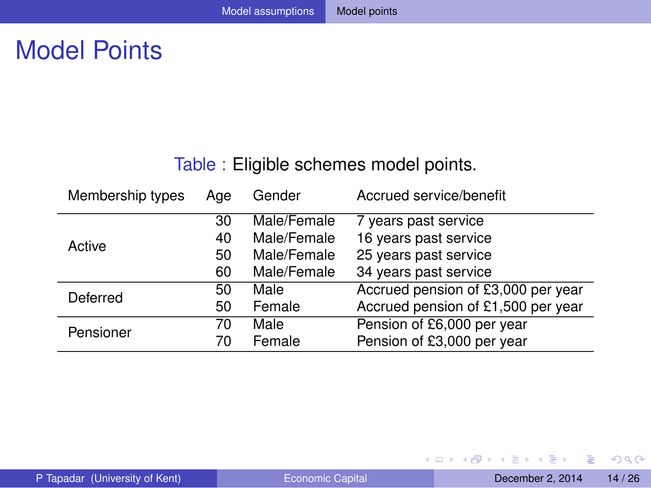## Model Points

#### Table : Eligible schemes model points.

| Membership types | Age | Gender      | Accrued service/benefit            |
|------------------|-----|-------------|------------------------------------|
|                  | 30  | Male/Female | 7 years past service               |
| Active           | 40  | Male/Female | 16 years past service              |
|                  | 50  | Male/Female | 25 years past service              |
|                  | 60  | Male/Female | 34 years past service              |
| Deferred         | 50  | Male        | Accrued pension of £3,000 per year |
|                  | 50  | Female      | Accrued pension of £1,500 per year |
| Pensioner        | 70  | Male        | Pension of £6,000 per year         |
|                  | 70  | Female      | Pension of £3,000 per year         |

重

<span id="page-14-0"></span> $299$ 

 $(0,1)$   $(0,1)$   $(0,1)$   $(1,1)$   $(1,1)$   $(1,1)$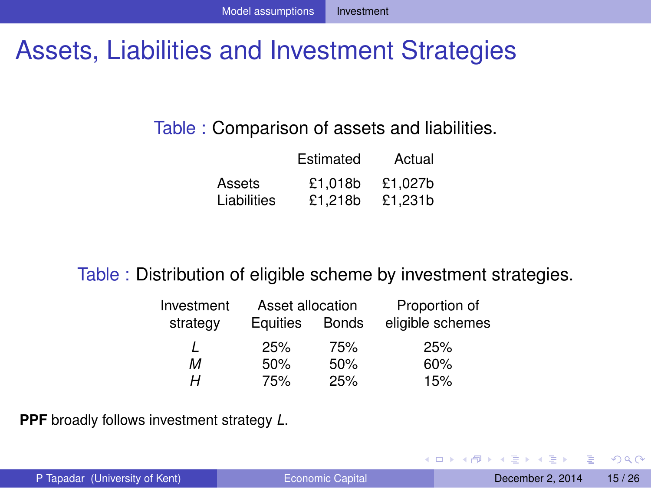## Assets, Liabilities and Investment Strategies

#### Table : Comparison of assets and liabilities.

|             | Estimated | Actual  |
|-------------|-----------|---------|
| Assets      | £1.018b   | £1.027b |
| Liabilities | £1.218b   | £1.231b |

#### Table : Distribution of eligible scheme by investment strategies.

| Investment | Asset allocation |              | Proportion of    |
|------------|------------------|--------------|------------------|
| strategy   | Equities         | <b>Bonds</b> | eligible schemes |
|            | 25%              | 75%          | 25%              |
| м          | 50%              | 50%          | 60%              |
| н          | 75%              | 25%          | 15%              |

**PPF** broadly follows investment strategy *L*.

<span id="page-15-0"></span> $\Omega$ 

イロト イ押ト イヨト イヨト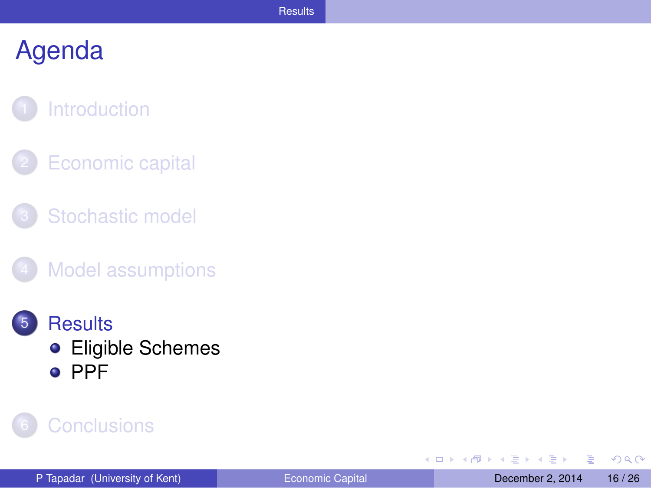#### **[Introduction](#page-2-0)**

- **[Economic capital](#page-4-0)**
- [Stochastic model](#page-8-0)
- **[Model assumptions](#page-11-0)**
- **[Results](#page-15-0) •** [Eligible Schemes](#page-16-0) o [PPF](#page-20-0)



4 0 8 1  $\leftarrow$   $\leftarrow$   $\leftarrow$ -41 ラメス 国 Þ

<span id="page-16-0"></span> $QQ$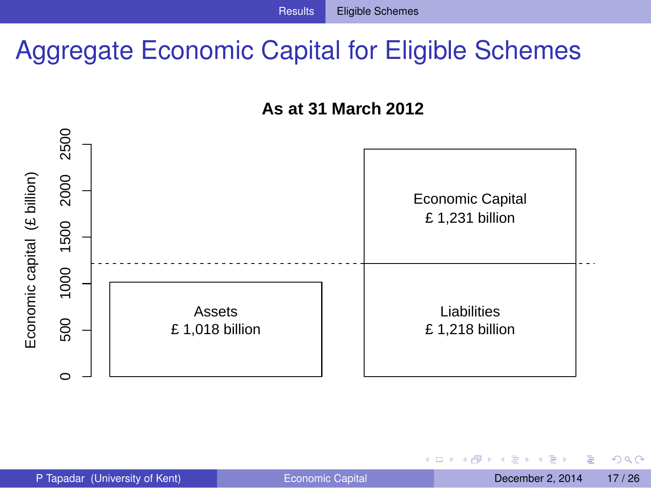## Aggregate Economic Capital for Eligible Schemes





4 0 8

4 同 下

Þ

<span id="page-17-0"></span> $QQQ$ 

医单位 医单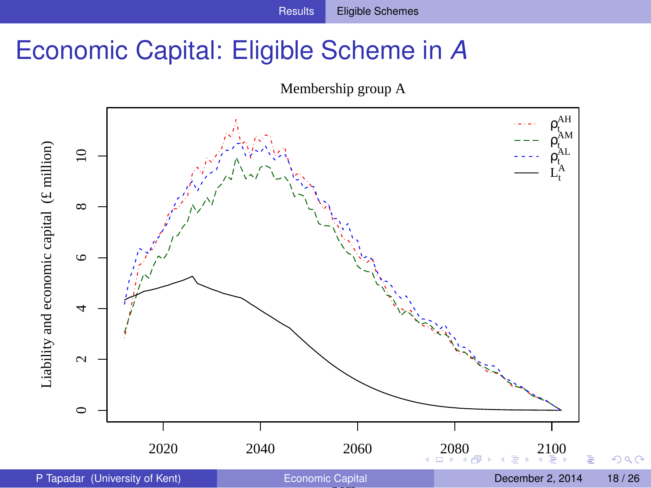## Economic Capital: Eligible Scheme in *A*

<span id="page-18-0"></span>

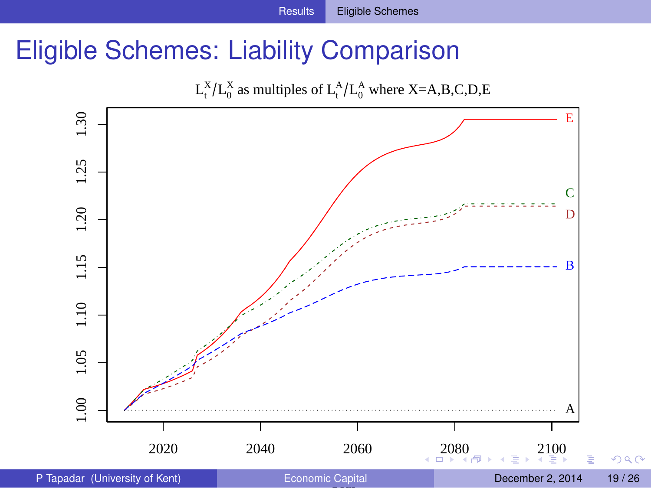## Eligible Schemes: Liability Comparison

<span id="page-19-0"></span>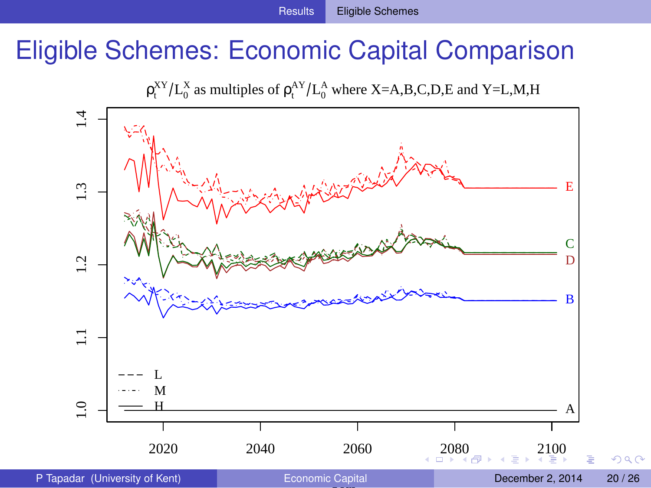## Eligible Schemes: Economic Capital Comparison

<span id="page-20-0"></span> $\rho_t^{XY}/L_0^X$  as multiples of  $\rho_t^{AY}/L_0^A$  where X=A,B,C,D,E and Y=L,M,H

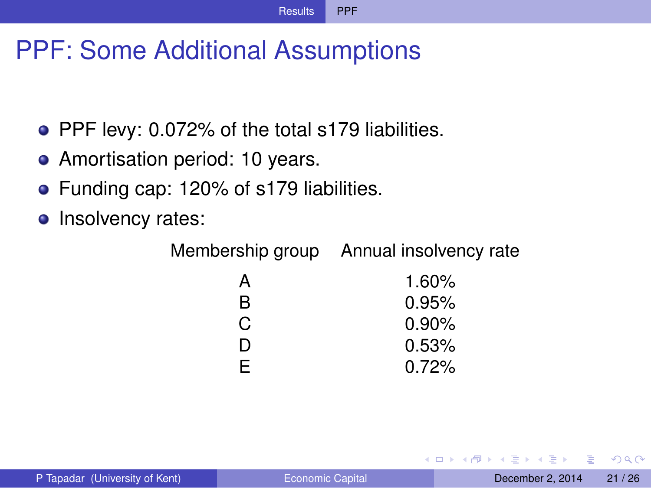## PPF: Some Additional Assumptions

- PPF levy: 0.072% of the total s179 liabilities.
- Amortisation period: 10 years.
- **•** Funding cap: 120% of s179 liabilities.
- Insolvency rates:

Membership group Annual insolvency rate

| А  | 1.60%    |
|----|----------|
| R  | 0.95%    |
| C. | $0.90\%$ |
| D  | 0.53%    |
| F. | 0.72%    |

<span id="page-21-0"></span> $\Omega$ 

The South The

4 D.K.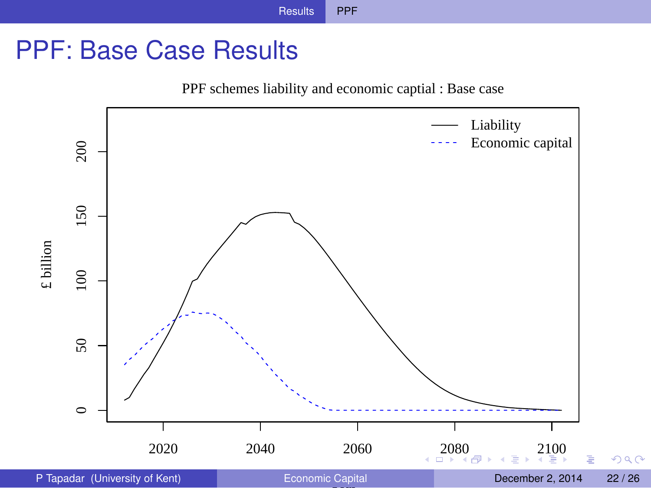## PPF: Base Case Results

<span id="page-22-0"></span>PPF schemes liability and economic captial : Base case

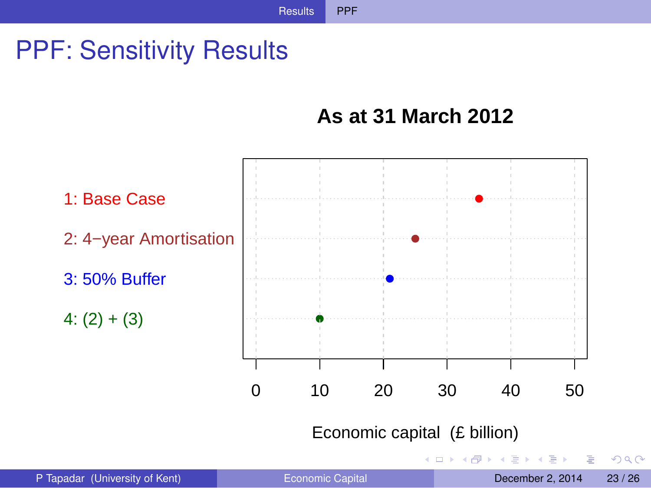## PPF: Sensitivity Results

#### <span id="page-23-0"></span>**As at 31 March 2012**

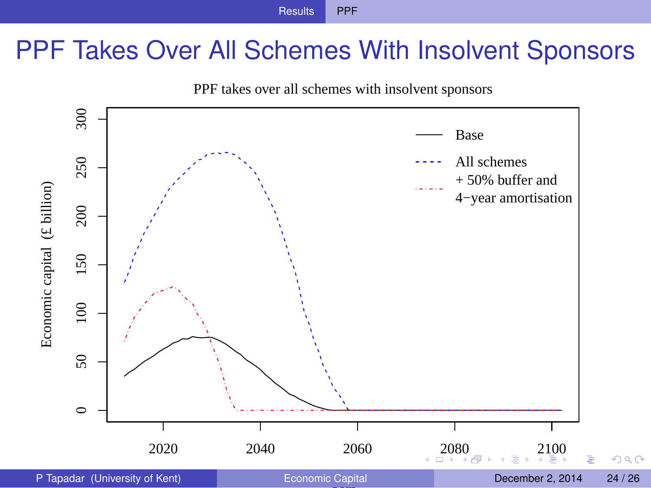## PPF Takes Over All Schemes With Insolvent Sponsors

<span id="page-24-0"></span>

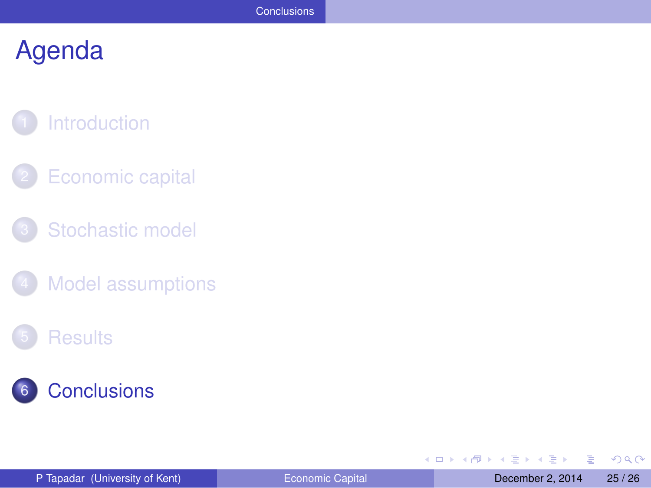## **[Introduction](#page-2-0)**

- **[Economic capital](#page-4-0)**
- [Stochastic model](#page-8-0)
- [Model assumptions](#page-11-0)

#### **[Results](#page-15-0)**



÷.

<span id="page-25-0"></span> $299$ 

 $(0,1)$   $(0,1)$   $(0,1)$   $(1,1)$   $(1,1)$   $(1,1)$